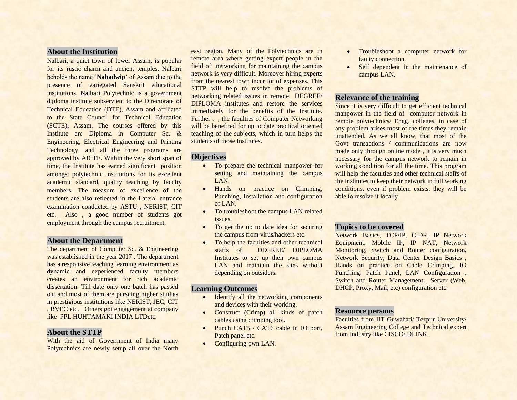# **About the Institution**

Nalbari, a quiet town of lower Assam, is popular for its rustic charm and ancient temples. Nalbari beholds the name '**Nabadwip**' of Assam due to the presence of variegated Sanskrit educational institutions. Nalbari Polytechnic is a government diploma institute subservient to the Directorate of Technical Education (DTE), Assam and affiliated to the State Council for Technical Education (SCTE), Assam. The courses offered by this Institute are Diploma in Computer Sc. & Engineering, Electrical Engineering and Printing Technology, and all the three programs are approved by AICTE. Within the very short span of time, the Institute has earned significant position amongst polytechnic institutions for its excellent academic standard, quality teaching by faculty members. The measure of excellence of the students are also reflected in the Lateral entrance examination conducted by ASTU , NERIST, CIT etc. Also , a good number of students got employment through the campus recruitment.

### **About the Department**

The department of Computer Sc. & Engineering was established in the year 2017 . The department has a responsive teaching learning environment as dynamic and experienced faculty members creates an environment for rich academic dissertation. Till date only one batch has passed out and most of them are pursuing higher studies in prestigious institutions like NERIST, JEC, CIT , BVEC etc. Others got engagement at company like PPL HUHTAMAKI INDIA LTDetc.

#### **About the STTP**

With the aid of Government of India many Polytechnics are newly setup all over the North east region. Many of the Polytechnics are in remote area where getting expert people in the field of networking for maintaining the campus network is very difficult. Moreover hiring experts from the nearest town incur lot of expenses. This STTP will help to resolve the problems of networking related issues in remote DEGREE/ DIPLOMA institutes and restore the services immediately for the benefits of the Institute. Further . , the faculties of Computer Networking will be benefited for up to date practical oriented teaching of the subjects, which in turn helps the students of those Institutes.

#### **Objectives**

- To prepare the technical manpower for setting and maintaining the campus LAN.
- Hands on practice on Crimping, Punching, Installation and configuration of LAN.
- To troubleshoot the campus LAN related issues.
- To get the up to date idea for securing the campus from virus/hackers etc.
- To help the faculties and other technical staffs of DEGREE/ DIPLOMA Institutes to set up their own campus LAN and maintain the sites without depending on outsiders.

#### **Learning Outcomes**

- Identify all the networking components and devices with their working.
- Construct (Crimp) all kinds of patch cables using crimping tool.
- Punch CAT5 / CAT6 cable in IO port, Patch panel etc.
- Configuring own LAN.
- Troubleshoot a computer network for faulty connection.
- Self dependent in the maintenance of campus LAN.

#### **Relevance of the training**

Since it is very difficult to get efficient technical manpower in the field of computer network in remote polytechnics/ Engg. colleges, in case of any problem arises most of the times they remain unattended. As we all know, that most of the Govt transactions / communications are now made only through online mode , it is very much necessary for the campus network to remain in working condition for all the time. This program will help the faculties and other technical staffs of the institutes to keep their network in full working conditions, even if problem exists, they will be able to resolve it locally.

#### **Topics to be covered**

Network Basics, TCP/IP, CIDR, IP Network Equipment, Mobile IP, IP NAT, Network Monitoring, Switch and Router configuration, Network Security, Data Center Design Basics , Hands on practice on Cable Crimping, IO Punching, Patch Panel, LAN Configuration , Switch and Router Management , Server (Web, DHCP, Proxy, Mail, etc) configuration etc.

#### **Resource persons**

Faculties from IIT Guwahati/ Tezpur University/ Assam Engineering College and Technical expert from Industry like CISCO/ DLINK.